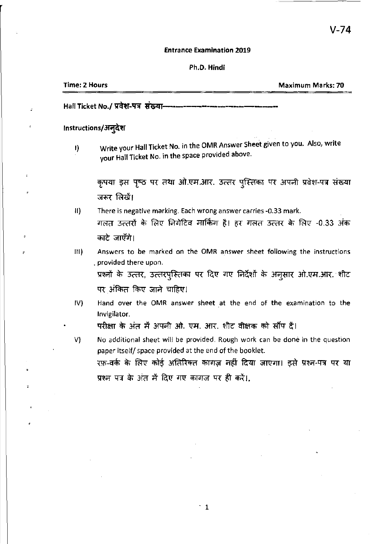### Entrance Examination 2019

# Ph.D. Hindi

| Time: 2 Hours | <b>Maximum Marks: 70</b>       |
|---------------|--------------------------------|
|               | <u> 1995 - 1995, 1999 - 19</u> |

Hall Ticket No./ प्रवेश-पत्र संख्या-

# Instructions/अन्देश

I) Write your Hall Ticket No. in the OMR Answer Sheet given to you. Also, write your Hall Ticket No. in the space provided above.

कृपया इस पृष्ठ पर तथा ओ.एम.आर. उत्तर पुस्तिका पर अपनी प्रवेश-पत्र संख्या जरूर लिखें।

- II) There is negative marking. Each wrong answer carries -0.33 mark. गलत उत्तरों के लिए निगेटिव मार्किंग है। हर गलत उत्तर के लिए -0.33 अंक काटे जाएँगे।
- III) Answers to be marked on the OMR answer sheet following the instructions . provided there upon.

प्रश्नों के उत्तर, उत्तरपुस्तिका पर दिए गए निर्देशों के अनूसार ओ.एम.आर. शीट पर अंकित किए जाने चाहिए।

IV) Hand over the OMR answer sheet at the end of the examination to the Invigilator.

परीक्षा के अंत में अपनी ओ. एम. आर. शीट वीक्षक को सौंप दें।

V) No additional sheet will be provided. Rough work can be done in the question paper itself/ space provided at the end of the booklet. रफ़-वर्क के लिए कोई अतिरिक्त कागज़ नहीं दिया जाएगा। इसे प्रश्न-पत्र पर या प्रश्न पत्र के अंत में दिए गए कागज पर ही करें।.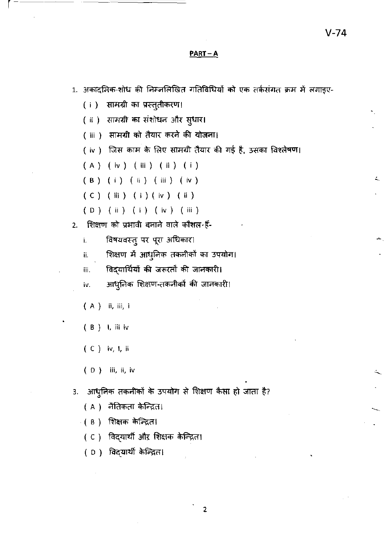# $PART-A$

1. अकादमिक-शोध की निम्नलिखित गतिविधियों को एक तर्कसंगत क्रम में लगाइए-

- ( i ) सामग्री का प्रस्तुतीकरण।
- (ii) सामग्री का संशोधन और सुधार।
- (iii) सामग्री को तैयार करने की योजना।
- (iv) जिस काम के लिए सामग्री तैयार की गई है, उसका विश्लेषण।

 $(A)$  (iv) (iii) (ii) (i)

(B) (i) (ii) (iii) (iv)

- $(C)$   $(iii)$   $(i)$   $(iv)$   $(ii)$
- (D) (ii) (i) (iv) (iii)
- 2. शिक्षण को प्रभावी बनाने वाले कौशल हैं-
	- विषयवस्तु पर पूरा अधिकार। i.
	- शिक्षण में आधुनिक तकनीकों का उपयोग। ij.

विद्यार्थियों की जरूरतों की जानकारी। iii.

आधुनिक शिक्षण-तकनीकों की जानकारी। iv.

- (A) ii, iii, i
- (B) 1, iii iv
- $(C)$  iv, I, ii
- $(D)$  iii, ii, iv
- आधुनिक तकनीकों के उपयोग से शिक्षण कैसा हो जाता है? 3.
	- ( A ) नैतिकता केन्द्रित।
	- ( в ) शिक्षक केन्द्रित।
	- ( C ) विद्यार्थी औऱ शिक्षक केन्द्रित।
	- ( D) विद्**यार्थी के**न्द्रित।

 $\overline{2}$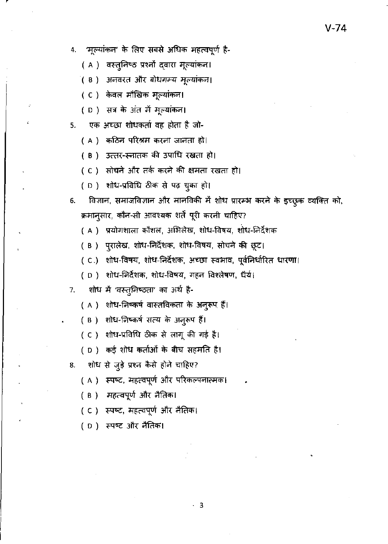( A ) वस्तुनिष्ठ प्रश्नों द्वारा मूल्यांकन।

- ( B ) अनवरत और बोधगम्य मूल्यांकन।
- (C) केवल मौखिक मूल्यांकन।
- (D) सत्र के अंत में मूल्यांकन।
- एक अच्छा शोधकर्ता वह होता है जो-5.
	- (A) कठिन परिश्रम करना जानता हो।
	- ( B) उत्तर-स्नातक की उपाधि रखता हो।
	- (C) सोचने और तर्क करने की क्षमता रखता हो।
	- (D) शोध-प्रविधि ठीक से पढ़ चुका हो।
- विज्ञान, समाजविज्ञान और मानविकी में शोध प्रारम्भ करने के इच्छुक व्यक्ति को, 6. क्रमान्सार, कौन-सी आवश्यक शर्तें पूरी करनी चाहिए?
	- ( A ) प्रयोगशाला कौशल, अभिलेख, शोध-विषय, शोध-निर्देशक
	- ( B ) पूरालेख, शोध-लिर्देशक, शोध-विषय, सोचने की छूट।
	- ( C.) शोध-विषय, शोध-निर्देशक, अच्छा स्वभाव, पूर्वनिर्धारित धारणा।

 $\cdot$  3

- ( D ) शोध-निर्देशक, शोध-विषय, गहन विश्लेषण, धैर्य।
- शोध में 'वस्तुनिष्ठता' का अर्थ है- $7.$ 
	- ( A ) शोध-निष्कर्ष वास्तविकता के अनुरूप हैं।
	- ( B ) शोध-निष्कर्ष सत्य के अनुरूप हैं।
	- ( C ) शोध-प्रविधि ठीक से लागू की गई है।
	- ( D ) कई शोध कर्ताओं के बीच सहमति है।
- शोध से जुड़े प्रश्न कैसे होने चाहिए? 8.
	- ( A ) स्पष्ट, महत्वपूर्ण और परिकल्पनात्मक।
	- ( B ) महत्वपूर्ण और नैतिक।
	- ( C ) स्पष्ट, महत्वपूर्ण और नैतिक।
	- ( D ) स्पष्ट और नैतिक।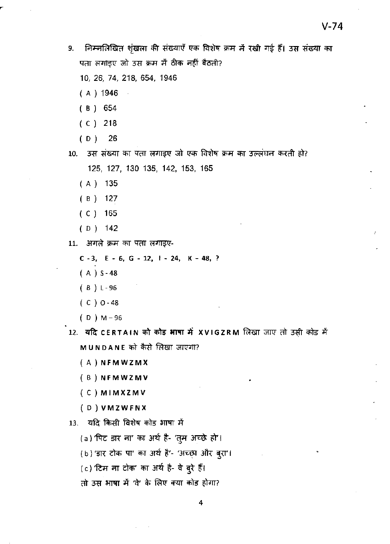निम्नलिखित शृंखला की संख्याएँ एक विशेष क्रम में रखी गई हैं। उस संख्या का 9. पता लगाइए जो उस क्रम में ठीक नहीं बैठती?

10, 26, 74, 218, 654, 1946

- $(A) 1946$
- $(B) 654$
- $(C)$  218
- $(D)$ 26
- 10. उस संख्या का पता लगाइए जो एक विशेष क्रम का उल्लंघन करती हो? 125, 127, 130 135, 142, 153, 165
	- $(A)$  135
	- $(B)$  127
	- $(C)$  165
	- $(D)$  142
- 11. अगले क्रम का पता लगाइए-

 $C - 3$ ,  $E - 6$ ,  $G - 12$ ,  $1 - 24$ ,  $K - 48$ , ?

- $(A) S 48$
- $(B)$   $L 96$
- $(C) 0 48$
- $(D)$  M-96
- 12. यदि CERTAIN को कोड़ भाषा में XVIGZRM लिखा जाए तो उसी कोड़ में MUNDANE को कैसे लिखा जाएगा?
	- $(A)$  NFMWZMX
	- (B) NFMWZMV
	- $(C)$  MIMXZMV
	- (D) VMZWFNX
- 13. यदि किसी विशेष कोड भाषा में
	- (a) 'पिट डार ना' का अर्थ है- 'तुम अच्छे हो'।
	- (b) 'डार टोक पा' का अर्थ है'- 'अच्छा और बुरा'।
	- (c) 'टिम ना टोक' का अर्थ है- वे बुरे हैं।
	- तो उस भाषा में 'वे' के लिए क्या कोड होगा?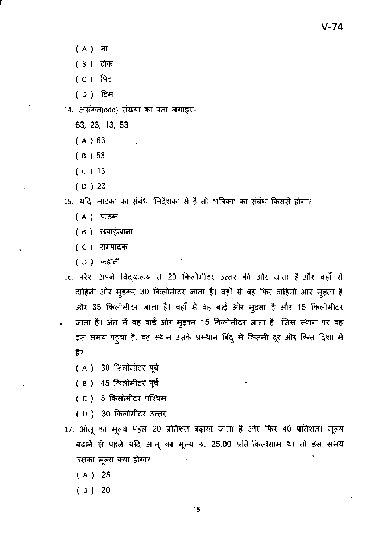- $(A)$  ना
- ( B ) टोक
- (C) पिट
- (D) टिम
- 14. असंगत(odd) संख्या का पता लगाइए-
	- 63, 23, 13, 53
	- $(A) 63$
	- $(B)$  53
	- $(C)$  13
	- $(D)$  23

15. यदि 'नाटक' का संबंध 'निर्देशक' से है तो 'पत्रिका' का संबंध किससे होगा?

- (A) पाठक
- ( B ) छपाईखाना
- ( C ) सम्पादक
- ( D ) कहानी
- 16. परेश अपने विद्यालय से 20 किलोमीटर उत्तर की ओर जाता है और वहाँ से दाहिनी ओर मुड़कर 30 किलोमीटर जाता है। वहाँ से वह फिर दाहिनी ओर मुड़ता है और 35 किलोमीटर जाता है। वहाँ से वह बाई ओर मुइता है और 15 किलोमीटर जाता है। अंत में वह बाईं ओर मुइकर 15 किलोमीटर जाता है। जिस स्थान पर वह इस समय पहुँचा है, वह स्थान उसके प्रस्थान बिंदु से कितनी दूर और किस दिशा में है?
	- (A) 30 किलोमीटर पूर्व
	- (B) 45 किलोमीटर पूर्व
	- (C) 5 किलोमीटर पश्चिम
	- ( D ) 30 किलोमीटर उत्तर
- 17. आलू का मूल्य पहले 20 प्रतिशत बढ़ाया जाता है और फिर 40 प्रतिशत। मूल्य बढ़ाने से पहले यदि आलू का मूल्य रु. 25.00 प्रति किलोग्राम था तो इस समय उसका मूल्य क्या होगा?
	- $(A) 25$
	- $(B) 20$

۰5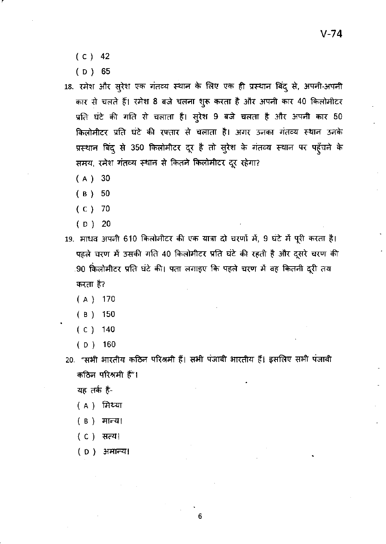- $(C) 42$
- $(D) 65$

18. रमेश और सुरेश एक गंतव्य स्थान के लिए एक ही प्रस्थान बिंदू से, अपनी-अपनी कार से चलते हैं। रमेश 8 बजे चलना शुरू करता है और अपनी कार 40 किलोमीटर प्रति घंटे की गति से चलाता है। सुरेश 9 बजे चलता है और अपनी कार 50 किलोमीटर प्रति घंटे की रफ्तार से चलाता है। अगर उनका गंतव्य स्थान उनके प्रस्थान बिंदु से 350 किलोमीटर दूर है तो सुरेश के गंतव्य स्थान पर पहुँचने के समय, रमेश गंतव्य स्थान से कितने किलोमीटर दूर रहेगा?

- $(A)$  30
- $(B) 50$
- $(C)$  70
- $(D)$  20
- 19. माधव अपनी 610 किलोमीटर की एक यात्रा दो चरणों में, 9 घंटे में पूरी करता है। पहले चरण में उसकी गति 40 किलोमीटर प्रति घंटे की रहती है और दूसरे चरण की .90 किलोमीटर प्रति घंटे की। पता लगाइए कि पहले चरण में वह कितनी दूरी तय करता है?
	- $(A)$  170
	- $(B)$  150
	- $(C)$  140
	- $(D)$  160
- 20. "सभी भारतीय कठिन परिश्रमी हैं। सभी पंजाबी भारतीय हैं। इसलिए सभी पंजाबी कठिन परिश्रमी हैं"।

यह तर्क है-

- ( A ) मिथ्या
- ( B ) मान्य।
- (C) सत्य।
- ( D ) अमान्य।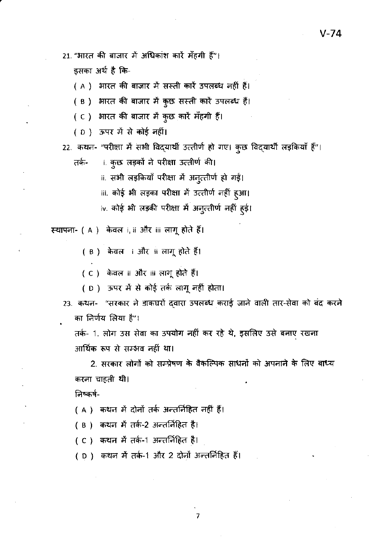21. "भारत की बाजार में अधिकांश कारें मँहगी हैं"।

इसका अर्थ है कि-

( A ) भारत की बाजार में सस्ती कारें उपलब्ध नहीं हैं।

( B ) भारत की बाजार में कुछ सस्ती कारें उपलब्ध हैं।

( C ) भारत की बाजार में कुछ कारें मँहगी हैं।

(D) ऊपर में से कोई नहीं।

22. कथन- "परीक्षा में सभी विद्यार्थी उत्तीर्ण हो गए। कुछ विद्यार्थी लड़कियाँ हैं"।

ा. कुछ लड़कों ने परीक्षा उत्तीर्ण की। तके-

ii. सभी लड़कियाँ परीक्षा में अनुत्तीर्ण हो गई।

iii. कोई भी लड़का परीक्षा में उत्तीर्ण नहीं हुआ।

iv. कोई भी लड़की परीक्षा में अनुत्तीर्ण नहीं हुई।

स्थापना- ( A ) केवल i, ii और iii लागू होते हैं।

( B ) केवल । और ॥ लागू होते हैं।

( C ) केवल ii और iii लागू होते हैं।

- ( D ) ऊपर में से कोई तर्क लागू नहीं होता।
- 23. कथन- "सरकार ने डाकघरों दवारा उपलब्ध कराई जाने वाली तार-सेवा को बंद करने का निर्णय लिया है"।

तर्क- 1. लोग उस सेवा का उपयोग नहीं कर रहे थे, इसलिए उसे बनाए रखना आर्थिक रूप से सम्भव नहीं था।

2. सरकार लोगों को सम्प्रेषण के वैकल्पिक साधनों को अपनाने के लिए बाध्य करना चाहती थी।

निष्कर्ष-

( A ) कथन में दोनों तर्क अन्तर्निहित नहीं हैं।

( B ) कथन में तर्क-2 अन्तर्निहित है।

( C ) कथन में तर्क-1 अन्तर्निहित है।

( D ) कथन में तर्क-1 और 2 दोनों अन्तर्निहित हैं।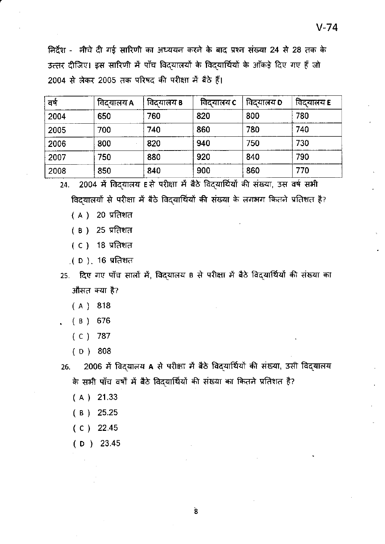निर्देश - नीचे दी गई सारिणी का अध्ययन करने के बाद प्रश्न संख्या 24 से 28 तक के उत्तर दीजिए। इस सारिणी में पाँच विद्यालयों के विद्यार्थियों के आँकड़े दिए गए हैं जो 2004 से लेकर 2005 तक परिषद की परीक्षा में बैठे हैं।

| वर्ष | विदयालय A | विदयालय B | विदयालय C | विदयालय D | विदयालय E |
|------|-----------|-----------|-----------|-----------|-----------|
| 2004 | 650       | 760       | 820       | 800       | 780       |
| 2005 | 700       | 740       | 860       | 780       | 740       |
| 2006 | 800       | 820       | 940       | 750       | 730       |
| 2007 | 750       | 880       | 920       | 840       | 790       |
| 2008 | 850       | 840       | 900       | 860       | 770       |

24. 2004 में विदयालय E से परीक्षा में बैठे विदयार्थियों की संख्या, उस वर्ष सभी विद्यालयों से परीक्षा में बैठे विद्यार्थियों की संख्या के लगभग कितने प्रतिशत है?

- $(A)$  20 प्रतिशत
- ( B) 25 प्रतिशत
- $(C)$  18 प्रतिशत
- $($  D) $, 16$  प्रतिशत
- 25. दिए गए पाँच सालों में, विदयालय B से परीक्षा में बैठे विद्यार्थियों की संख्या का औसत क्या है?
	- $(A)$  818
	- $(B) 676$
	- $(C)$  787
	- $(D) 808$
- 2006 में विदयालय A से परीक्षा में बैठे विदयार्थियों की संख्या, उसी विद्यालय  $26.$ के सभी पाँच वर्षों में बैठे विदयार्थियों की संख्या का कितने प्रतिशत है?
	- $(A)$  21.33
	- $(B)$  25.25
	- $(C)$  22.45
	- $(D)$  23.45

Ś.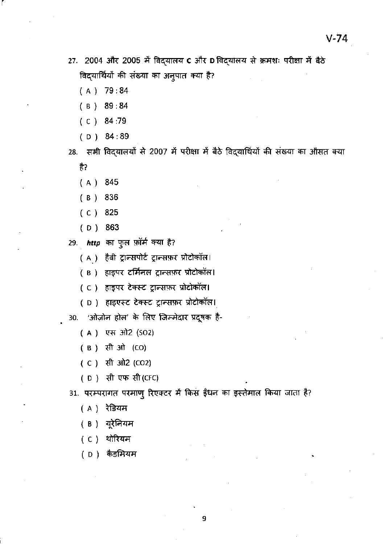27. 2004 और 2005 में विद्यालय c और D विद्यालय से क्रमशः परीक्षा में बैठे विद्यार्थियों की संख्या का अनुपात क्या है?

( A) 79: 84

r

- ( B) 89: 84
- $(C) 84:79$
- (0) 84:89

28. सभी विद्यालयों से 2007 में परीक्षा में बैठे विद्यार्थियों की संख्या का औसत क्या है?

- ( A) 845
- ( B) 836
- ( () 825
- ( 0) 863
- 29. *http* का फुल फ़ॉर्म क्या है?
	- ( A ) हैवी ट्रान्सपोर्ट ट्रान्सफ़र प्रोटोकॉल।
	- ( B) हाइपर टर्मिनल ट्रान्सफ़र प्रोटोकॉल।
	- ( C ) हाइपर टेक्स्ट ट्रान्सफ़र प्रोटोकॉल।
	- ( D ) हाइएस्ट टेक्स्ट ट्रान्सफ़र प्रोटोकॉल।

30. 'ओज़ोन होल' के लिए जिम्मेदार प्रदूषक है-

- (A) एस ओ2 (SO2)
- ( B ) सी ओ (CO)
- (C) सी ओ2 (CO2)
- ( D ) सी एफ सी (CFC)

31. परम्परागत परमाणु रिएक्टर में किस ईंधन का इस्तेमाल किया जाता है?

- ( A ) रेडियम
- ( B ) यूरेनियम
- ( C ) थोरियम
- (D) कैडमियम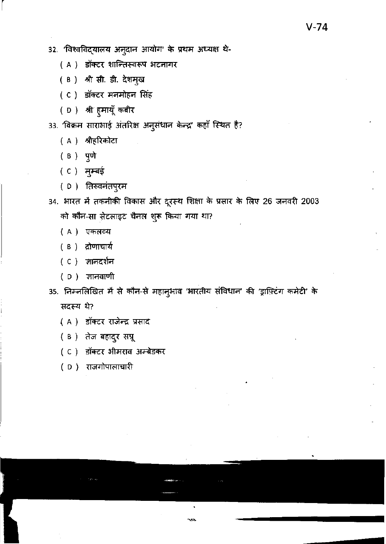32. 'विश्वविद्यालय अनुदान आयोग' के प्रथम अध्यक्ष थे-

( A ) डॉक्टर शान्तिस्वरूप भटनागर

(B) श्री सी. डी. देशमुख

( C ) डॉक्टर मनमोहन सिंह

(D) श्री हुमायूँ कबीर

33. 'विक्रम साराभाई अंतरिक्ष अनुसंधान केन्द्र' कहाँ स्थित है?

( A ) श्रीहरिकोटा

( B ) पुणे

(C) मुम्बई

( D) तिरुवनंतपुरम

34. भारत में तकनीकी विकास और दूरस्थ शिक्षा के प्रसार के लिए 26 जनवरी 2003 को कौन-सा सेटलाइट चैनल शुरू किया गया था?

- (A) एकलव्य
- ( B ) द्रोणाचार्य
- ( C ) ज्ञानदर्शन
- ( D ) ज्ञानवाणी

35. निम्नलिखित में से कौन-से महानुभाव 'भारतीय संविधान' की 'ड्राफ़्टिंग कमेटी' के सदस्य थे?

- ( A ) डॉक्टर राजेन्द्र प्रसाद
- (B) तेज बहादुर सप्रू
- (C) डॉक्टर भीमराव अम्बेडकर
- (D) राजगोपालाचारी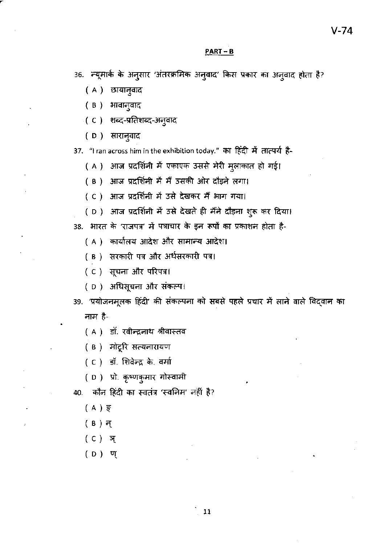#### $PART - B$

36. न्यूमार्क के अनुसार 'अंतरक्रमिक अनुवाद' किस प्रकार का अनुवाद होता है?

- (A) छायानुवाद
- ( B ) भावानुवाद
- ः( C ) शब्द-प्रतिशब्द-अनुवाद
- (D) सारानुवाद

37. "I ran across him in the exhibition today." का हिंदी में तात्पर्य है-

( A ) आज प्रदर्शिनी में एकाएक उससे मेरी मुलाकात हो गई।

( B ) आज प्रदर्शिनी में मैं उसकी ओर दौड़ने लगा।

(C) आज प्रदर्शिनी में उसे देखकर मैं भाग गया।

(D) आज प्रदर्शिनी में उसे देखते ही मैंने दौड़ना शुरू कर दिया।

38. भारत के 'राजपत्र' में पत्राचार के इन रूपों का प्रकाशन होता है-

( A ) कार्यालय आदेश और सामान्य आदेश।

( B ) सरकारी पत्र और अर्धसरकारी पत्र।

(C) सूचना और परिपत्र।

(D) अधिसूचना और संकल्प।

39. 'प्रयोजनमूलक हिंदी' की संकल्पना को सबसे पहले प्रचार में लाने वाले विद्वान का नाम है-

( A ) डॉ. रवीन्द्रनाथ श्रीवास्तव

( B ) मोटूरि सत्यनारायण

(C) डॉ. शिवेन्द्र के. वर्मा

(D) प्रो. कृष्णकुमार गोस्वामी

40. कौन हिंदी का स्वतंत्र 'स्वलिम' नहीं है?

- (A) ਭ੍ਰ
- $(B)$  न्
- (C) ञ्
- $(D)$  ण्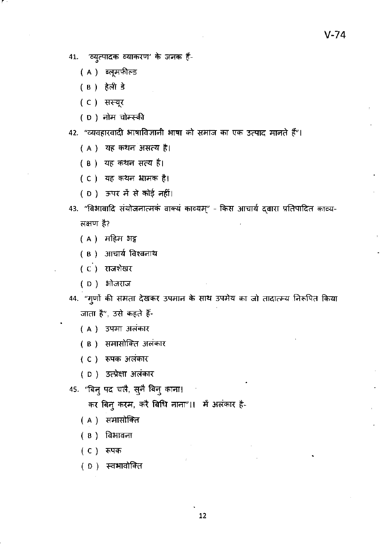- 41. 'व्युत्पादक व्याकरण' के जनक हैं-
	- ( A ) ब्लूमफील्ड
	- (B) हेली डे
	- (C) सस्यूर
	- ( D ) नोम चोम्स्की
- 42. "व्यवहारवादी भाषाविज्ञानी भाषा को समाज का एक उत्पाद मानते हैं"।
	- (A) यह कथन असत्य है।
	- (B) यह कथन सत्य है।
	- ( C ) यह कथन भामक है।
	- (D) ऊपर में से कोई नहीं।
- 43. "विभावादि संयोजनात्मकं वाक्यं काव्यम्" किस आचार्य द्वारा प्रतिपादित काव्य-लक्षण है?
	- (A) महिम भट्ट
	- ( B ) आचार्य विश्वनाथ
	- (C) राजशेखर
	- ( D ) भोजराज
- 44. "गुणों की समता देखकर उपमान के साथ उपमेय का जो तादात्म्य निरूपित किया जाता है", उसे कहते हैं-
	- ( A ) उपमा अलंकार
	- ( B ) समासोक्ति अलंकार
	- (C) रूपक अलंकार
	- ( D ) उत्प्रेक्षा अलंकार
- 45. "बिनु पद चलै, सुनै बिनु काना।

कर बिनु करम, करै बिधि नाना"।। मैं अलंकार है-

- ( A ) समासोक्ति
- ( B ) विभावना

(C) रूपक

(D) स्वभावोक्ति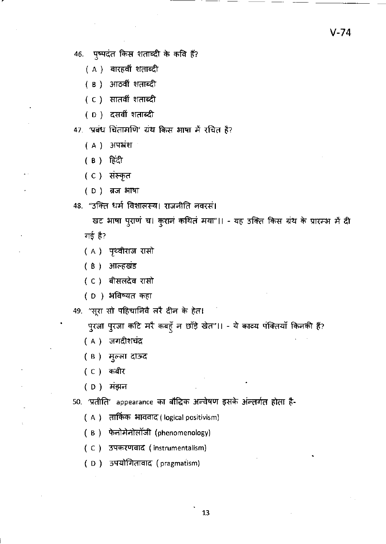46. पृष्पदंत किस शताब्दी के कवि हैं?

- ( A ) बारहवीं शताब्दी
- (B) आठवीं शताब्दी
- ( C ) सातवीं शताब्दी
- (D) दसवीं शताब्दी

47. 'प्रबंध चिंतामणि' ग्रंथ किस भाषा में रचित है?

(A) अपभ्रंश

(B) हिंदी

- ( C ) संस्कृत
- (D) ब्रज भाषा

48. "उक्ति धर्म विशालस्य। राजनीति नवरसं।

खट भाषा पुराणं च। कुरानं कथितं मया"।। - यह उक्ति किस ग्रंथ के प्रारम्भ में दी गई है?

- ( A ) पृथ्वीराज रासो
- ( B ) आल्हखंड
- (C) बीसलदेव रासो
- (D) अविष्यत कहा

49. "सूरा सो पहिचानिवें लरें दीन के हेत।

पुरजा पुरजा कटि मरै कबहूँ न छाँड़े खेत"।। - ये काव्य पंक्तियाँ किनकी हैं?

- ( A ) जगदीशचंद्र
- ( B ) मुल्ला दाऊद
- (C) कबीर
- ( D ) मंझन

50. 'प्रतीति' appearance का बौद्धिक अन्वेषण इसके अन्तर्गत होता है-

- (A) तार्किक भाववाद (logical positivism)
- (B) फेनोमेनोलॉजी (phenomenology)
- (C) उपकरणवाद (instrumentalism)
- (D) उपयोगितावाद (pragmatism)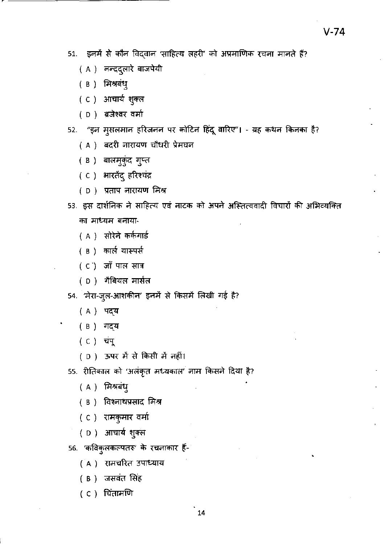$V-74$ 

- 51. इनमें से कौन विद्वान 'साहित्य लहरी' को अप्रमाणिक रचना मानते हैं?
	- ( A ) नन्ददुलारे बाजपेयी
	- ( В ) मिश्रबंध्
	- (C) आचार्य शुक्ल
	- (D) ब्रजेश्वर वर्मा

52. "इन मुसलमान हरिजनन पर कोटिन हिंदू वारिए"। - यह कथन किनका है?

- ( A ) बदरी नारायण चौधरी प्रेमघन
- ( в ) बालमुकुंद गुप्त
- (C) भारतेंदु हरिश्चंद्र
- (D) प्रताप नारायण मिश्र
- 53. इस दार्शनिक ने साहित्य एवं नाटक को अपने अस्तित्ववादी विचारों की अभिव्यक्ति का माध्यम बनाया-
	- ( A ) सोरेले कर्कगार्ड
	- ( в ) कार्ल यास्पर्स
	- $(C)$  जाँ पाल सात्र
	- (D) गैबियल मार्सल
- 54. 'मेरा-जुल-आशकीन' इनमें से किसमें लिखी गई है?
	- (A) पद्य
	- ( B ) गद्**य**
	- ( C ) चंपू
	- (D) ऊपर में से किसी में नहीं।
- 55. रीतिकाल को 'अलंकृत मध्यकाल' नाम किसने दिया है?
	- (A) मिश्रबंध्
	- ( в ) विश्नाथप्रसाद मिश्र
	- ( C ) रामकुमार वर्मा
	- ( D ) आचार्य शुक्ल
- 56. 'कविकुलकल्पतरु' के रचनाकार हैं-
	- ( A ) रामचरित उपाध्याय
	- (в) जसवंत सिंह
	- ( C ) चिंतामणि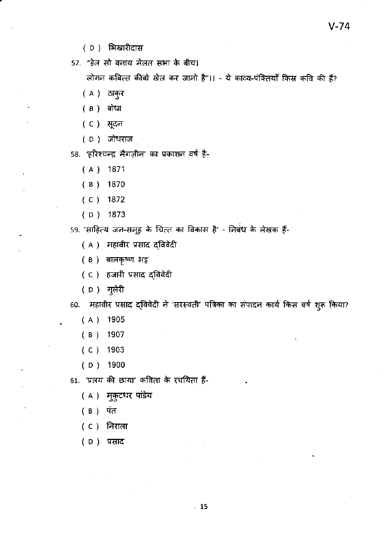- (D) भिखारीदास
- 57. "डेल सो बनाय मेलत सभा के बीच।

लोगन कबित्त कीबो खेल कर जानो है"।। - ये काव्य-पंक्तियाँ किस कवि की हैं?

- $(A)$  ठाकुर
- (B) बोधा
- (C) सूदन
- ( D ) जोधराज

58. 'हरिश्चन्द्र मैगज़ीन' का प्रकाशन वर्ष है-

- $(A)$  1871
- $(B)$  1870
- $(C)$  1872
- $(D)$  1873

59. 'साहित्य जन-समूह के चित्त का विकास है' - निबंध के लेखक हैं-

- ( A ) महावीर प्रसाद द्विवेदी
- ( B) बालकृष्ण भट्ट
- ( C ) हजारी प्रसाद द्विवेदी
- ( D ) गुलेरी

60. महावीर प्रसाद द्विवेदी ने 'सरस्वती' पत्रिका का संपादन कार्य किस वर्ष शुरू किया?

- $(A)$  1905
- $(B)$  1907
- $(C)$  1903
- $(D)$  1900
- 61. 'प्रलय की छाया' कविता के रचयिता हैं-
	- ( A ) मुकुटधर पांडेय
	- ( B ) पंत
	- (C) निरा**ला**
	- (D) प्रसाद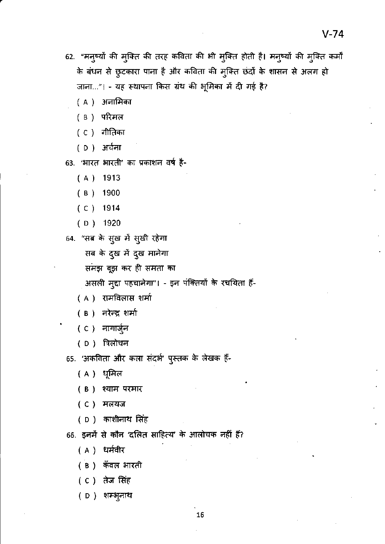- 62. "मनुष्यों की मुक्ति की तरह कविता की भी मुक्ति होती है। मनुष्यों की मुक्ति कर्मों के बंधन से छुटकारा पाना है और कविता की मुक्ति छंदों के शासन से अलग हो जाना..."। - यह स्थापना किस ग्रंथ की भूमिका में दी गई है?
	- ( A ) अनामिका
	- ( в ) परिमल
	- ( C ) गीतिका
	- (D) अर्चना
- 63. 'भारत भारती' का प्रकाशन वर्ष है-
	- $(A)$ 1913
	- 1900  $(B)$
	- $(C)$  1914
	- $(D)$  1920
- 64. "सब के सुख में सुखी रहेगा
	- सब के दुख में दुख मानेगा
	- समझ बूझ कर ही समता का
	- असली मुद्दा पहचानेगा"। इन पंक्तियों के रचयिता हैं-
	- ( A ) रामविलास शर्मा
	- ( B ) नरेन्द्र शर्मा
	- ( C ) नागार्जुन
	- ( D ) त्रिलोचन
- 65. 'अकविता और कला संदर्भ' पुस्तक के लेखक हैं-
	- ( A ) धूमिल
	- ( B ) श्याम परमार
	- (C) मलयज
	- ( D ) काशीनाथ सिंह
- 66. इनमें से कौन 'दलित साहित्य' के आलोचक नहीं हैं?
	- (A) धर्मवीर
	- ( B ) कँवल भारती
	- ( C ) तेज सिंह
	- ( D ) शम्भूनाथ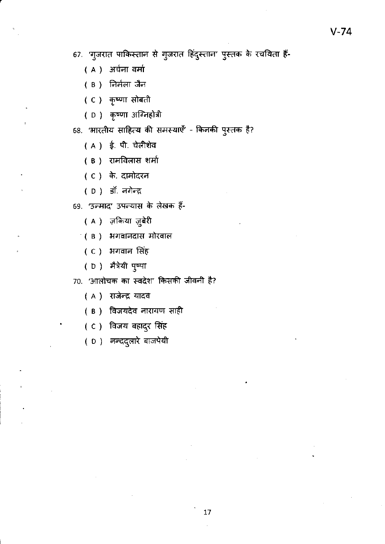67. 'गुजरात पाकिस्तान से गुजरात हिंदुस्तान' पुस्तक के रचयिता हैं-

- (A) अर्चना वर्मा
- ( B ) निर्मला जैन
- ( C ) कृष्णा सोबती
- ( D ) कृष्णा अग्निहोत्री
- 68. 'भारतीय साहित्य की समस्याएँ' किनकी पुस्तक है?
	- (A) ई. पी. चेलीशेव
	- ( B ) रामविलास शर्मा
	- (C) के. दामोदरन
	- ( D ) डॉ. नगेन्द्र

69. 'उन्माद' उपन्यास के लेखक हैं-

- ( A ) ज़किया ज़ुबेरी
- (B) भगवानदास मोरवाल
	- (C) भगवान सिंह
- ( D ) मैत्रेयी पुष्पा

70. 'आलोचक का स्वदेश' किसकी जीवनी है?

- ( A ) राजेन्द्र यादव
- ( B ) विजयदेव नारायण साही
- (C) विजय बहादुर सिंह
- ( D) नन्ददुलारे बाजपेयी